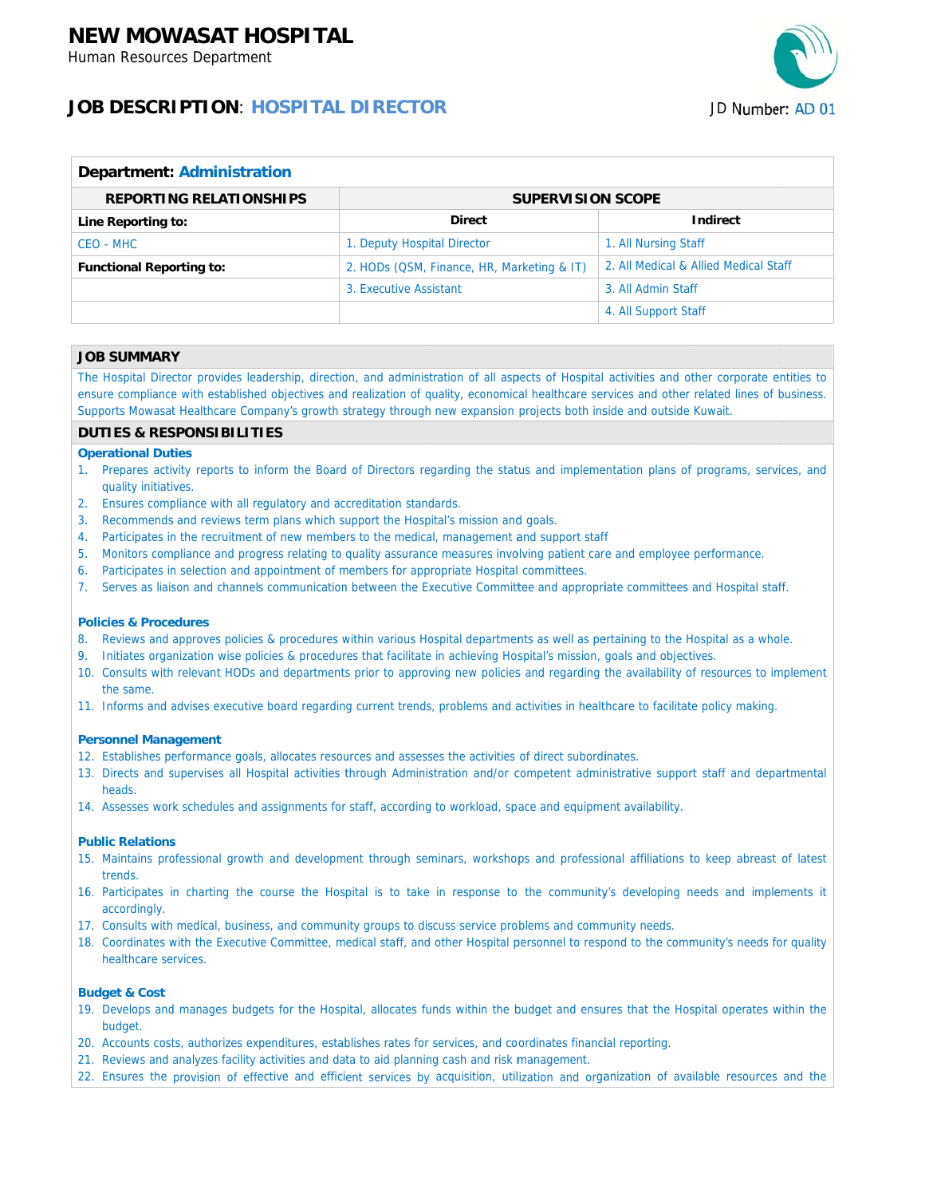Human Resources Department

# **JOB DESCRIPTION: HOSPITAL DIRECTOR**



#### **Department: Administration REPORTING RELATIONSHIPS SUPERVISION SCOPE Direct Indirect** Line Reporting to: 1. Deputy Hospital Director 1. All Nursing Staff CEO - MHC 2. All Medical & Allied Medical Staff **Functional Reporting to:** 2. HODs (QSM, Finance, HR, Marketing & IT) 3. Executive Assistant 3 All Admin Staff 4. All Support Staff

### **JOB SUMMARY**

The Hospital Director provides leadership, direction, and administration of all aspects of Hospital activities and other corporate entities to ensure compliance with established objectives and realization of quality, economical healthcare services and other related lines of business. Supports Mowasat Healthcare Company's growth strategy through new expansion projects both inside and outside Kuwait.

## **DUTIES & RESPONSIBILITIES**

### **Operational Duties**

- 1. Prepares activity reports to inform the Board of Directors regarding the status and implementation plans of programs, services, and quality initiatives.
- Ensures compliance with all regulatory and accreditation standards.  $2<sub>1</sub>$
- Recommends and reviews term plans which support the Hospital's mission and goals.  $3<sub>1</sub>$
- Participates in the recruitment of new members to the medical, management and support staff  $4.$
- $5<sub>1</sub>$ Monitors compliance and progress relating to quality assurance measures involving patient care and employee performance.
- 6. Participates in selection and appointment of members for appropriate Hospital committees.
- 7. Serves as liaison and channels communication between the Executive Committee and appropriate committees and Hospital staff.

### **Policies & Procedures**

- 8. Reviews and approves policies & procedures within various Hospital departments as well as pertaining to the Hospital as a whole.
- 9. Initiates organization wise policies & procedures that facilitate in achieving Hospital's mission, goals and objectives.
- 10. Consults with relevant HODs and departments prior to approving new policies and regarding the availability of resources to implement the same.
- 11. Informs and advises executive board regarding current trends, problems and activities in healthcare to facilitate policy making.

### **Personnel Management**

- 12. Establishes performance goals, allocates resources and assesses the activities of direct subordinates.
- 13. Directs and supervises all Hospital activities through Administration and/or competent administrative support staff and departmental heads
- 14. Assesses work schedules and assignments for staff, according to workload, space and equipment availability.

### **Public Relations**

- 15. Maintains professional growth and development through seminars, workshops and professional affiliations to keep abreast of latest trends
- 16. Participates in charting the course the Hospital is to take in response to the community's developing needs and implements it accordingly.
- 17. Consults with medical, business, and community groups to discuss service problems and community needs.
- 18. Coordinates with the Executive Committee, medical staff, and other Hospital personnel to respond to the community's needs for quality healthcare services.

### **Budget & Cost**

- 19. Develops and manages budgets for the Hospital, allocates funds within the budget and ensures that the Hospital operates within the budget.
- 20. Accounts costs, authorizes expenditures, establishes rates for services, and coordinates financial reporting.
- 21. Reviews and analyzes facility activities and data to aid planning cash and risk management.
- 22. Ensures the provision of effective and efficient services by acquisition, utilization and organization of available resources and the